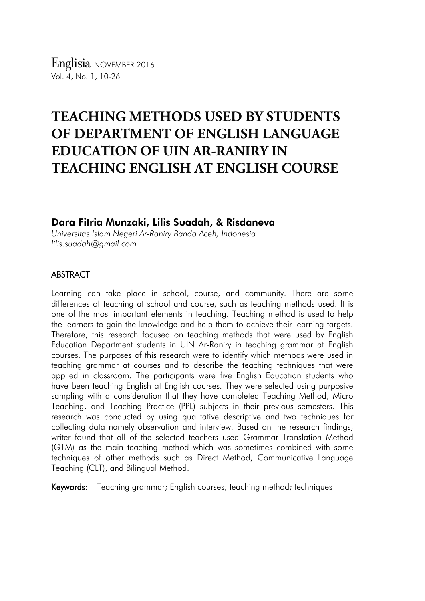# **TEACHING METHODS USED BY STUDENTS OF DEPARTMENT OF ENGLISH LANGUAGE EDUCATION OF UIN AR-RANIRY IN TEACHING ENGLISH AT ENGLISH COURSE**

# Dara Fitria Munzaki, Lilis Suadah, & Risdaneva

*Universitas Islam Negeri Ar-Raniry Banda Aceh, Indonesia lilis.suadah@gmail.com*

# ABSTRACT

Learning can take place in school, course, and community. There are some differences of teaching at school and course, such as teaching methods used. It is one of the most important elements in teaching. Teaching method is used to help the learners to gain the knowledge and help them to achieve their learning targets. Therefore, this research focused on teaching methods that were used by English Education Department students in UIN Ar-Raniry in teaching grammar at English courses. The purposes of this research were to identify which methods were used in teaching grammar at courses and to describe the teaching techniques that were applied in classroom. The participants were five English Education students who have been teaching English at English courses. They were selected using purposive sampling with a consideration that they have completed Teaching Method, Micro Teaching, and Teaching Practice (PPL) subjects in their previous semesters. This research was conducted by using qualitative descriptive and two techniques for collecting data namely observation and interview. Based on the research findings, writer found that all of the selected teachers used Grammar Translation Method (GTM) as the main teaching method which was sometimes combined with some techniques of other methods such as Direct Method, Communicative Language Teaching (CLT), and Bilingual Method.

Keywords: Teaching grammar; English courses; teaching method; techniques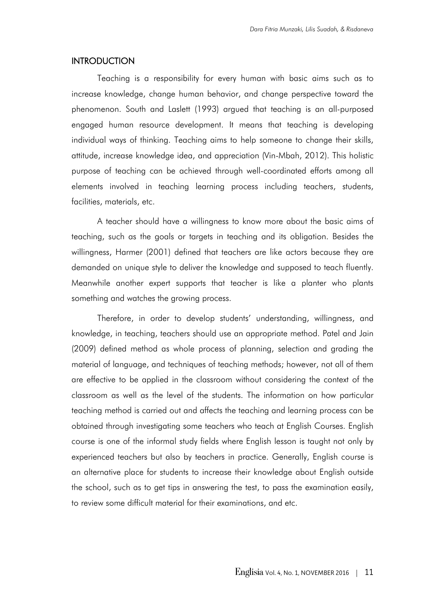## **INTRODUCTION**

Teaching is a responsibility for every human with basic aims such as to increase knowledge, change human behavior, and change perspective toward the phenomenon. South and Laslett (1993) argued that teaching is an all-purposed engaged human resource development. It means that teaching is developing individual ways of thinking. Teaching aims to help someone to change their skills, attitude, increase knowledge idea, and appreciation (Vin-Mbah, 2012). This holistic purpose of teaching can be achieved through well-coordinated efforts among all elements involved in teaching learning process including teachers, students, facilities, materials, etc.

A teacher should have a willingness to know more about the basic aims of teaching, such as the goals or targets in teaching and its obligation. Besides the willingness, Harmer (2001) defined that teachers are like actors because they are demanded on unique style to deliver the knowledge and supposed to teach fluently. Meanwhile another expert supports that teacher is like a planter who plants something and watches the growing process.

Therefore, in order to develop students' understanding, willingness, and knowledge, in teaching, teachers should use an appropriate method. Patel and Jain (2009) defined method as whole process of planning, selection and grading the material of language, and techniques of teaching methods; however, not all of them are effective to be applied in the classroom without considering the context of the classroom as well as the level of the students. The information on how particular teaching method is carried out and affects the teaching and learning process can be obtained through investigating some teachers who teach at English Courses. English course is one of the informal study fields where English lesson is taught not only by experienced teachers but also by teachers in practice. Generally, English course is an alternative place for students to increase their knowledge about English outside the school, such as to get tips in answering the test, to pass the examination easily, to review some difficult material for their examinations, and etc.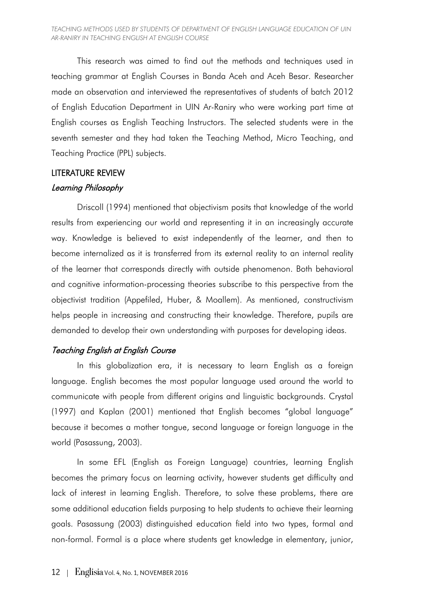#### *TEACHING METHODS USED BY STUDENTS OF DEPARTMENT OF ENGLISH LANGUAGE EDUCATION OF UIN AR-RANIRY IN TEACHING ENGLISH AT ENGLISH COURSE*

This research was aimed to find out the methods and techniques used in teaching grammar at English Courses in Banda Aceh and Aceh Besar. Researcher made an observation and interviewed the representatives of students of batch 2012 of English Education Department in UIN Ar-Raniry who were working part time at English courses as English Teaching Instructors. The selected students were in the seventh semester and they had taken the Teaching Method, Micro Teaching, and Teaching Practice (PPL) subjects.

# LITERATURE REVIEW Learning Philosophy

# Driscoll (1994) mentioned that objectivism posits that knowledge of the world results from experiencing our world and representing it in an increasingly accurate way. Knowledge is believed to exist independently of the learner, and then to become internalized as it is transferred from its external reality to an internal reality of the learner that corresponds directly with outside phenomenon. Both behavioral and cognitive information-processing theories subscribe to this perspective from the objectivist tradition (Appefiled, Huber, & Moallem). As mentioned, constructivism helps people in increasing and constructing their knowledge. Therefore, pupils are demanded to develop their own understanding with purposes for developing ideas.

# Teaching English at English Course

In this globalization era, it is necessary to learn English as a foreign language. English becomes the most popular language used around the world to communicate with people from different origins and linguistic backgrounds. Crystal (1997) and Kaplan (2001) mentioned that English becomes "global language" because it becomes a mother tongue, second language or foreign language in the world (Pasassung, 2003).

In some EFL (English as Foreign Language) countries, learning English becomes the primary focus on learning activity, however students get difficulty and lack of interest in learning English. Therefore, to solve these problems, there are some additional education fields purposing to help students to achieve their learning goals. Pasassung (2003) distinguished education field into two types, formal and non-formal. Formal is a place where students get knowledge in elementary, junior,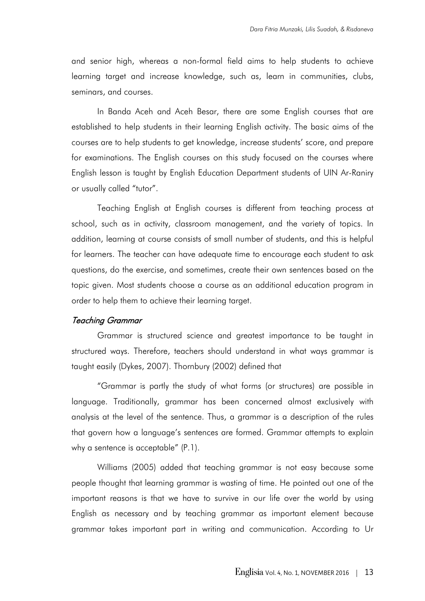and senior high, whereas a non-formal field aims to help students to achieve learning target and increase knowledge, such as, learn in communities, clubs, seminars, and courses.

In Banda Aceh and Aceh Besar, there are some English courses that are established to help students in their learning English activity. The basic aims of the courses are to help students to get knowledge, increase students' score, and prepare for examinations. The English courses on this study focused on the courses where English lesson is taught by English Education Department students of UIN Ar-Raniry or usually called "tutor".

Teaching English at English courses is different from teaching process at school, such as in activity, classroom management, and the variety of topics. In addition, learning at course consists of small number of students, and this is helpful for learners. The teacher can have adequate time to encourage each student to ask questions, do the exercise, and sometimes, create their own sentences based on the topic given. Most students choose a course as an additional education program in order to help them to achieve their learning target.

## Teaching Grammar

Grammar is structured science and greatest importance to be taught in structured ways. Therefore, teachers should understand in what ways grammar is taught easily (Dykes, 2007). Thornbury (2002) defined that

"Grammar is partly the study of what forms (or structures) are possible in language. Traditionally, grammar has been concerned almost exclusively with analysis at the level of the sentence. Thus, a grammar is a description of the rules that govern how a language's sentences are formed. Grammar attempts to explain why a sentence is acceptable" (P.1).

Williams (2005) added that teaching grammar is not easy because some people thought that learning grammar is wasting of time. He pointed out one of the important reasons is that we have to survive in our life over the world by using English as necessary and by teaching grammar as important element because grammar takes important part in writing and communication. According to Ur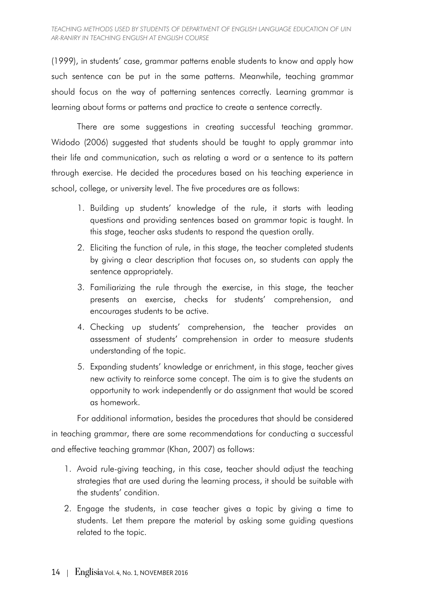(1999), in students' case, grammar patterns enable students to know and apply how such sentence can be put in the same patterns. Meanwhile, teaching grammar should focus on the way of patterning sentences correctly. Learning grammar is learning about forms or patterns and practice to create a sentence correctly.

There are some suggestions in creating successful teaching grammar. Widodo (2006) suggested that students should be taught to apply grammar into their life and communication, such as relating a word or a sentence to its pattern through exercise. He decided the procedures based on his teaching experience in school, college, or university level. The five procedures are as follows:

- 1. Building up students' knowledge of the rule, it starts with leading questions and providing sentences based on grammar topic is taught. In this stage, teacher asks students to respond the question orally.
- 2. Eliciting the function of rule, in this stage, the teacher completed students by giving a clear description that focuses on, so students can apply the sentence appropriately.
- 3. Familiarizing the rule through the exercise, in this stage, the teacher presents an exercise, checks for students' comprehension, and encourages students to be active.
- 4. Checking up students' comprehension, the teacher provides an assessment of students' comprehension in order to measure students understanding of the topic.
- 5. Expanding students' knowledge or enrichment, in this stage, teacher gives new activity to reinforce some concept. The aim is to give the students an opportunity to work independently or do assignment that would be scored as homework.

For additional information, besides the procedures that should be considered

in teaching grammar, there are some recommendations for conducting a successful and effective teaching grammar (Khan, 2007) as follows:

- 1. Avoid rule-giving teaching, in this case, teacher should adjust the teaching strategies that are used during the learning process, it should be suitable with the students' condition.
- 2. Engage the students, in case teacher gives a topic by giving a time to students. Let them prepare the material by asking some guiding questions related to the topic.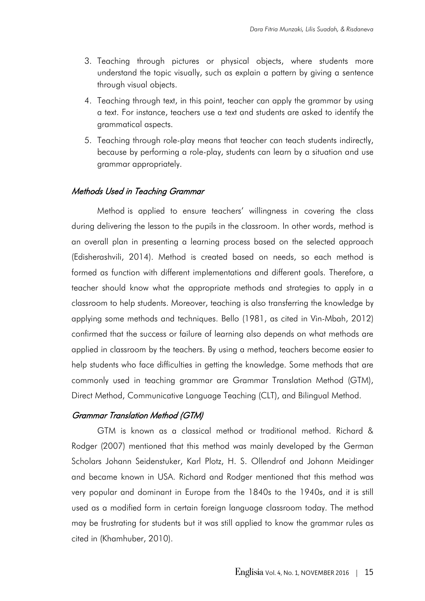- 3. Teaching through pictures or physical objects, where students more understand the topic visually, such as explain a pattern by giving a sentence through visual objects.
- 4. Teaching through text, in this point, teacher can apply the grammar by using a text. For instance, teachers use a text and students are asked to identify the grammatical aspects.
- 5. Teaching through role-play means that teacher can teach students indirectly, because by performing a role-play, students can learn by a situation and use grammar appropriately.

## Methods Used in Teaching Grammar

Method is applied to ensure teachers' willingness in covering the class during delivering the lesson to the pupils in the classroom. In other words, method is an overall plan in presenting a learning process based on the selected approach (Edisherashvili, 2014). Method is created based on needs, so each method is formed as function with different implementations and different goals. Therefore, a teacher should know what the appropriate methods and strategies to apply in a classroom to help students. Moreover, teaching is also transferring the knowledge by applying some methods and techniques. Bello (1981, as cited in Vin-Mbah, 2012) confirmed that the success or failure of learning also depends on what methods are applied in classroom by the teachers. By using a method, teachers become easier to help students who face difficulties in getting the knowledge. Some methods that are commonly used in teaching grammar are Grammar Translation Method (GTM), Direct Method, Communicative Language Teaching (CLT), and Bilingual Method.

## Grammar Translation Method (GTM)

GTM is known as a classical method or traditional method. Richard & Rodger (2007) mentioned that this method was mainly developed by the German Scholars Johann Seidenstuker, Karl Plotz, H. S. Ollendrof and Johann Meidinger and became known in USA. Richard and Rodger mentioned that this method was very popular and dominant in Europe from the 1840s to the 1940s, and it is still used as a modified form in certain foreign language classroom today. The method may be frustrating for students but it was still applied to know the grammar rules as cited in (Khamhuber, 2010).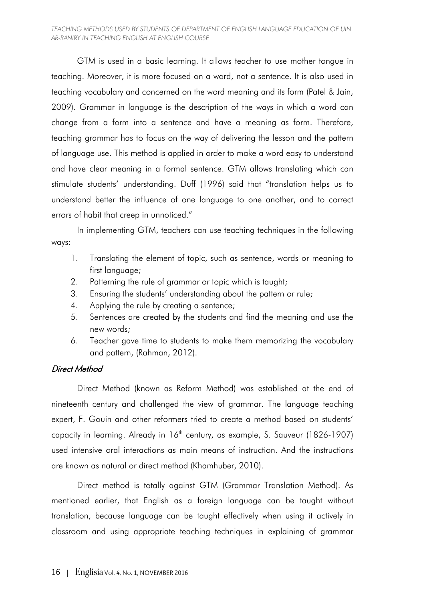#### *TEACHING METHODS USED BY STUDENTS OF DEPARTMENT OF ENGLISH LANGUAGE EDUCATION OF UIN AR-RANIRY IN TEACHING ENGLISH AT ENGLISH COURSE*

GTM is used in a basic learning. It allows teacher to use mother tongue in teaching. Moreover, it is more focused on a word, not a sentence. It is also used in teaching vocabulary and concerned on the word meaning and its form (Patel & Jain, 2009). Grammar in language is the description of the ways in which a word can change from a form into a sentence and have a meaning as form. Therefore, teaching grammar has to focus on the way of delivering the lesson and the pattern of language use. This method is applied in order to make a word easy to understand and have clear meaning in a formal sentence. GTM allows translating which can stimulate students' understanding. Duff (1996) said that "translation helps us to understand better the influence of one language to one another, and to correct errors of habit that creep in unnoticed."

In implementing GTM, teachers can use teaching techniques in the following ways:

- 1. Translating the element of topic, such as sentence, words or meaning to first language;
- 2. Patterning the rule of grammar or topic which is taught;
- 3. Ensuring the students' understanding about the pattern or rule;
- 4. Applying the rule by creating a sentence;
- 5. Sentences are created by the students and find the meaning and use the new words;
- 6. Teacher gave time to students to make them memorizing the vocabulary and pattern, (Rahman, 2012).

# Direct Method

Direct Method (known as Reform Method) was established at the end of nineteenth century and challenged the view of grammar. The language teaching expert, F. Gouin and other reformers tried to create a method based on students' capacity in learning. Already in  $16<sup>th</sup>$  century, as example, S. Sauveur (1826-1907) used intensive oral interactions as main means of instruction. And the instructions are known as natural or direct method (Khamhuber, 2010).

Direct method is totally against GTM (Grammar Translation Method). As mentioned earlier, that English as a foreign language can be taught without translation, because language can be taught effectively when using it actively in classroom and using appropriate teaching techniques in explaining of grammar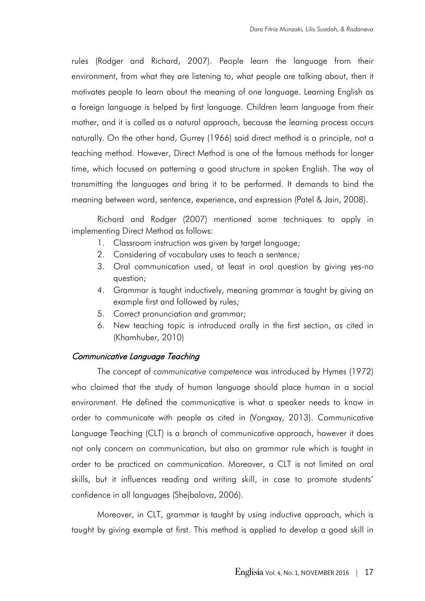rules (Rodger and Richard, 2007). People learn the language from their environment, from what they are listening to, what people are talking about, then it motivates people to learn about the meaning of one language. Learning English as a foreign language is helped by first language. Children learn language from their mother, and it is called as a natural approach, because the learning process occurs naturally. On the other hand, Gurrey (1966) said direct method is a principle, not a teaching method. However, Direct Method is one of the famous methods for longer time, which focused on patterning a good structure in spoken English. The way of transmitting the languages and bring it to be performed. It demands to bind the meaning between word, sentence, experience, and expression (Patel & Jain, 2008).

Richard and Rodger (2007) mentioned some techniques to apply in implementing Direct Method as follows:

- 1. Classroom instruction was given by target language;
- 2. Considering of vocabulary uses to teach a sentence;
- 3. Oral communication used, at least in oral question by giving yes-no question;
- 4. Grammar is taught inductively, meaning grammar is taught by giving an example first and followed by rules;
- 5. Correct pronunciation and grammar;
- 6. New teaching topic is introduced orally in the first section, as cited in (Khamhuber, 2010)

## Communicative Language Teaching

The concept of *communicative competence* was introduced by Hymes (1972) who claimed that the study of human language should place human in a social environment. He defined the communicative is what a speaker needs to know in order to communicate with people as cited in (Vongxay, 2013). Communicative Language Teaching (CLT) is a branch of communicative approach, however it does not only concern on communication, but also on grammar rule which is taught in order to be practiced on communication. Moreover, a CLT is not limited on oral skills, but it influences reading and writing skill, in case to promote students' confidence in all languages (Shejbalova, 2006).

Moreover, in CLT, grammar is taught by using inductive approach, which is taught by giving example at first. This method is applied to develop a good skill in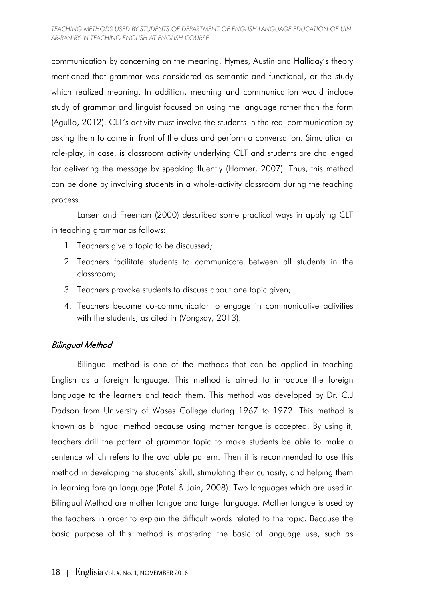communication by concerning on the meaning. Hymes, Austin and Halliday's theory mentioned that grammar was considered as semantic and functional, or the study which realized meaning. In addition, meaning and communication would include study of grammar and linguist focused on using the language rather than the form (Agullo, 2012). CLT's activity must involve the students in the real communication by asking them to come in front of the class and perform a conversation. Simulation or role-play, in case, is classroom activity underlying CLT and students are challenged for delivering the message by speaking fluently (Harmer, 2007). Thus, this method can be done by involving students in a whole-activity classroom during the teaching process.

Larsen and Freeman (2000) described some practical ways in applying CLT in teaching grammar as follows:

- 1. Teachers give a topic to be discussed;
- 2. Teachers facilitate students to communicate between all students in the classroom;
- 3. Teachers provoke students to discuss about one topic given;
- 4. Teachers become co-communicator to engage in communicative activities with the students, as cited in (Vongxay, 2013).

# Bilingual Method

Bilingual method is one of the methods that can be applied in teaching English as a foreign language. This method is aimed to introduce the foreign language to the learners and teach them. This method was developed by Dr. C.J Dadson from University of Wases College during 1967 to 1972. This method is known as bilingual method because using mother tongue is accepted. By using it, teachers drill the pattern of grammar topic to make students be able to make a sentence which refers to the available pattern. Then it is recommended to use this method in developing the students' skill, stimulating their curiosity, and helping them in learning foreign language (Patel & Jain, 2008). Two languages which are used in Bilingual Method are mother tongue and target language. Mother tongue is used by the teachers in order to explain the difficult words related to the topic. Because the basic purpose of this method is mastering the basic of language use, such as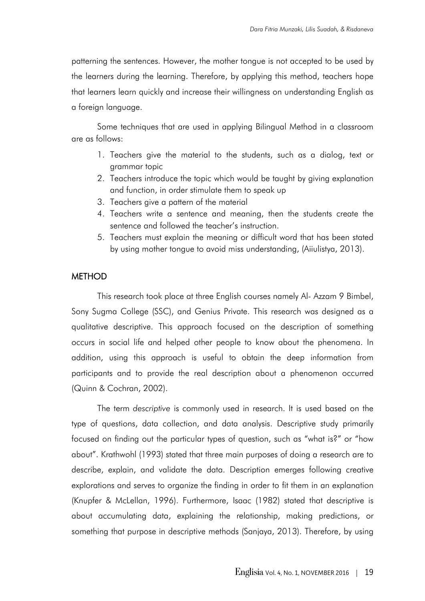patterning the sentences. However, the mother tongue is not accepted to be used by the learners during the learning. Therefore, by applying this method, teachers hope that learners learn quickly and increase their willingness on understanding English as a foreign language.

Some techniques that are used in applying Bilingual Method in a classroom are as follows:

- 1. Teachers give the material to the students, such as a dialog, text or grammar topic
- 2. Teachers introduce the topic which would be taught by giving explanation and function, in order stimulate them to speak up
- 3. Teachers give a pattern of the material
- 4. Teachers write a sentence and meaning, then the students create the sentence and followed the teacher's instruction.
- 5. Teachers must explain the meaning or difficult word that has been stated by using mother tongue to avoid miss understanding, (Aiiulistya, 2013).

## **METHOD**

This research took place at three English courses namely Al- Azzam 9 Bimbel, Sony Sugma College (SSC), and Genius Private. This research was designed as a qualitative descriptive. This approach focused on the description of something occurs in social life and helped other people to know about the phenomena. In addition, using this approach is useful to obtain the deep information from participants and to provide the real description about a phenomenon occurred (Quinn & Cochran, 2002).

The term *descriptive* is commonly used in research. It is used based on the type of questions, data collection, and data analysis. Descriptive study primarily focused on finding out the particular types of question, such as "what is?" or "how about". Krathwohl (1993) stated that three main purposes of doing a research are to describe, explain, and validate the data. Description emerges following creative explorations and serves to organize the finding in order to fit them in an explanation (Knupfer & McLellan, 1996). Furthermore, Isaac (1982) stated that descriptive is about accumulating data, explaining the relationship, making predictions, or something that purpose in descriptive methods (Sanjaya, 2013). Therefore, by using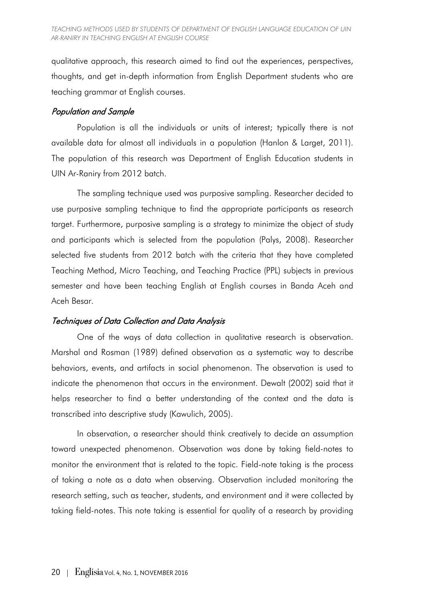qualitative approach, this research aimed to find out the experiences, perspectives, thoughts, and get in-depth information from English Department students who are teaching grammar at English courses.

## Population and Sample

Population is all the individuals or units of interest; typically there is not available data for almost all individuals in a population (Hanlon & Larget, 2011). The population of this research was Department of English Education students in UIN Ar-Raniry from 2012 batch.

The sampling technique used was purposive sampling. Researcher decided to use purposive sampling technique to find the appropriate participants as research target. Furthermore, purposive sampling is a strategy to minimize the object of study and participants which is selected from the population (Palys, 2008). Researcher selected five students from 2012 batch with the criteria that they have completed Teaching Method, Micro Teaching, and Teaching Practice (PPL) subjects in previous semester and have been teaching English at English courses in Banda Aceh and Aceh Besar.

# Techniques of Data Collection and Data Analysis

One of the ways of data collection in qualitative research is observation. Marshal and Rosman (1989) defined observation as a systematic way to describe behaviors, events, and artifacts in social phenomenon. The observation is used to indicate the phenomenon that occurs in the environment. Dewalt (2002) said that it helps researcher to find a better understanding of the context and the data is transcribed into descriptive study (Kawulich, 2005).

In observation, a researcher should think creatively to decide an assumption toward unexpected phenomenon. Observation was done by taking field-notes to monitor the environment that is related to the topic. Field-note taking is the process of taking a note as a data when observing. Observation included monitoring the research setting, such as teacher, students, and environment and it were collected by taking field-notes. This note taking is essential for quality of a research by providing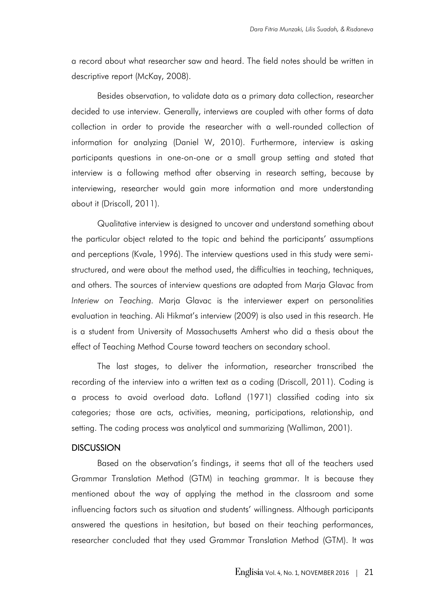a record about what researcher saw and heard. The field notes should be written in descriptive report (McKay, 2008).

Besides observation, to validate data as a primary data collection, researcher decided to use interview. Generally, interviews are coupled with other forms of data collection in order to provide the researcher with a well-rounded collection of information for analyzing (Daniel W, 2010). Furthermore, interview is asking participants questions in one-on-one or a small group setting and stated that interview is a following method after observing in research setting, because by interviewing, researcher would gain more information and more understanding about it (Driscoll, 2011).

Qualitative interview is designed to uncover and understand something about the particular object related to the topic and behind the participants' assumptions and perceptions (Kvale, 1996). The interview questions used in this study were semistructured, and were about the method used, the difficulties in teaching, techniques, and others. The sources of interview questions are adapted from Marja Glavac from *Interiew on Teaching.* Marja Glavac is the interviewer expert on personalities evaluation in teaching. Ali Hikmat's interview (2009) is also used in this research. He is a student from University of Massachusetts Amherst who did a thesis about the effect of Teaching Method Course toward teachers on secondary school.

The last stages, to deliver the information, researcher transcribed the recording of the interview into a written text as a coding (Driscoll, 2011). Coding is a process to avoid overload data. Lofland (1971) classified coding into six categories; those are acts, activities, meaning, participations, relationship, and setting. The coding process was analytical and summarizing (Walliman, 2001).

## **DISCUSSION**

Based on the observation's findings, it seems that all of the teachers used Grammar Translation Method (GTM) in teaching grammar. It is because they mentioned about the way of applying the method in the classroom and some influencing factors such as situation and students' willingness. Although participants answered the questions in hesitation, but based on their teaching performances, researcher concluded that they used Grammar Translation Method (GTM). It was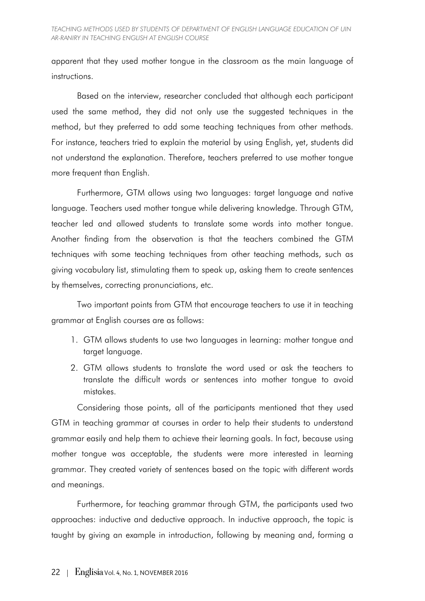apparent that they used mother tongue in the classroom as the main language of instructions.

Based on the interview, researcher concluded that although each participant used the same method, they did not only use the suggested techniques in the method, but they preferred to add some teaching techniques from other methods. For instance, teachers tried to explain the material by using English, yet, students did not understand the explanation. Therefore, teachers preferred to use mother tongue more frequent than English.

Furthermore, GTM allows using two languages: target language and native language. Teachers used mother tongue while delivering knowledge. Through GTM, teacher led and allowed students to translate some words into mother tongue. Another finding from the observation is that the teachers combined the GTM techniques with some teaching techniques from other teaching methods, such as giving vocabulary list, stimulating them to speak up, asking them to create sentences by themselves, correcting pronunciations, etc.

Two important points from GTM that encourage teachers to use it in teaching grammar at English courses are as follows:

- 1. GTM allows students to use two languages in learning: mother tongue and target language.
- 2. GTM allows students to translate the word used or ask the teachers to translate the difficult words or sentences into mother tongue to avoid mistakes.

Considering those points, all of the participants mentioned that they used GTM in teaching grammar at courses in order to help their students to understand grammar easily and help them to achieve their learning goals. In fact, because using mother tongue was acceptable, the students were more interested in learning grammar. They created variety of sentences based on the topic with different words and meanings.

Furthermore, for teaching grammar through GTM, the participants used two approaches: inductive and deductive approach. In inductive approach, the topic is taught by giving an example in introduction, following by meaning and, forming a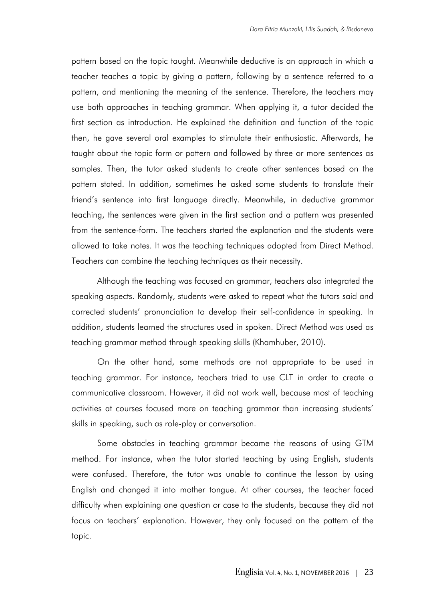pattern based on the topic taught. Meanwhile deductive is an approach in which a teacher teaches a topic by giving a pattern, following by a sentence referred to a pattern, and mentioning the meaning of the sentence. Therefore, the teachers may use both approaches in teaching grammar. When applying it, a tutor decided the first section as introduction. He explained the definition and function of the topic then, he gave several oral examples to stimulate their enthusiastic. Afterwards, he taught about the topic form or pattern and followed by three or more sentences as samples. Then, the tutor asked students to create other sentences based on the pattern stated. In addition, sometimes he asked some students to translate their friend's sentence into first language directly. Meanwhile, in deductive grammar teaching, the sentences were given in the first section and a pattern was presented from the sentence-form. The teachers started the explanation and the students were allowed to take notes. It was the teaching techniques adopted from Direct Method. Teachers can combine the teaching techniques as their necessity.

Although the teaching was focused on grammar, teachers also integrated the speaking aspects. Randomly, students were asked to repeat what the tutors said and corrected students' pronunciation to develop their self-confidence in speaking. In addition, students learned the structures used in spoken. Direct Method was used as teaching grammar method through speaking skills (Khamhuber, 2010).

On the other hand, some methods are not appropriate to be used in teaching grammar. For instance, teachers tried to use CLT in order to create a communicative classroom. However, it did not work well, because most of teaching activities at courses focused more on teaching grammar than increasing students' skills in speaking, such as role-play or conversation.

Some obstacles in teaching grammar became the reasons of using GTM method. For instance, when the tutor started teaching by using English, students were confused. Therefore, the tutor was unable to continue the lesson by using English and changed it into mother tongue. At other courses, the teacher faced difficulty when explaining one question or case to the students, because they did not focus on teachers' explanation. However, they only focused on the pattern of the topic.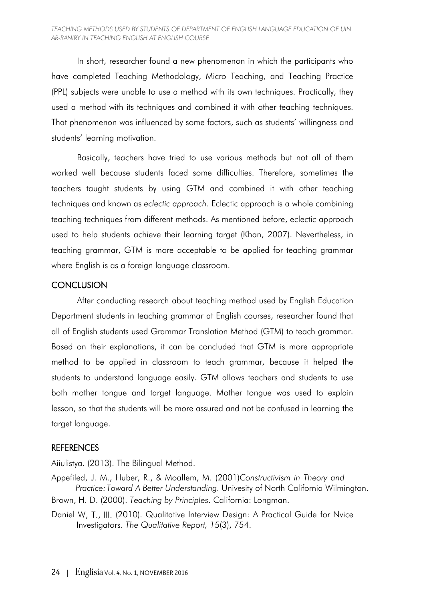In short, researcher found a new phenomenon in which the participants who have completed Teaching Methodology, Micro Teaching, and Teaching Practice (PPL) subjects were unable to use a method with its own techniques. Practically, they used a method with its techniques and combined it with other teaching techniques. That phenomenon was influenced by some factors, such as students' willingness and students' learning motivation.

Basically, teachers have tried to use various methods but not all of them worked well because students faced some difficulties. Therefore, sometimes the teachers taught students by using GTM and combined it with other teaching techniques and known as *eclectic approach*. Eclectic approach is a whole combining teaching techniques from different methods. As mentioned before, eclectic approach used to help students achieve their learning target (Khan, 2007). Nevertheless, in teaching grammar, GTM is more acceptable to be applied for teaching grammar where English is as a foreign language classroom.

# **CONCLUSION**

After conducting research about teaching method used by English Education Department students in teaching grammar at English courses, researcher found that all of English students used Grammar Translation Method (GTM) to teach grammar. Based on their explanations, it can be concluded that GTM is more appropriate method to be applied in classroom to teach grammar, because it helped the students to understand language easily. GTM allows teachers and students to use both mother tongue and target language. Mother tongue was used to explain lesson, so that the students will be more assured and not be confused in learning the target language.

# **REFERENCES**

Aiiulistya. (2013). The Bilingual Method.

Appefiled, J. M., Huber, R., & Moallem, M. (2001)*Constructivism in Theory and Practice:Toward A Better Understanding.* Univesity of North California Wilmington. Brown, H. D. (2000). *Teaching by Principles*. California: Longman.

Daniel W, T., III. (2010). Qualitative Interview Design: A Practical Guide for Nvice Investigators. *The Qualitative Report, 15*(3), 754.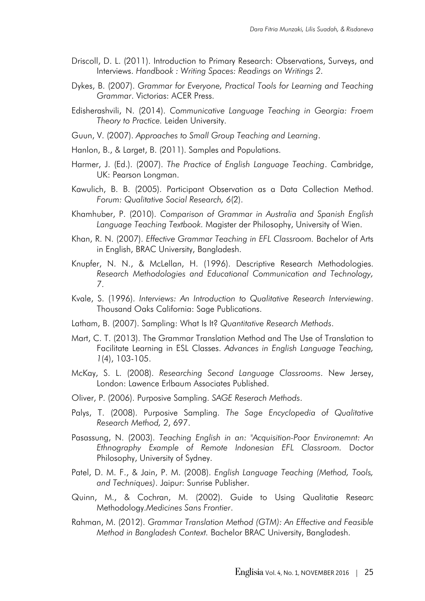- Driscoll, D. L. (2011). Introduction to Primary Research: Observations, Surveys, and Interviews. *Handbook : Writing Spaces: Readings on Writings 2*.
- Dykes, B. (2007). *Grammar for Everyone, Practical Tools for Learning and Teaching Grammar*. Victorias: ACER Press.
- Edisherashvili, N. (2014). *Communicative Language Teaching in Georgia: Froem Theory to Practice.* Leiden University.
- Guun, V. (2007). *Approaches to Small Group Teaching and Learning*.
- Hanlon, B., & Larget, B. (2011). Samples and Populations.
- Harmer, J. (Ed.). (2007). *The Practice of English Language Teaching*. Cambridge, UK: Pearson Longman.
- Kawulich, B. B. (2005). Participant Observation as a Data Collection Method. *Forum: Qualitative Social Research, 6*(2).
- Khamhuber, P. (2010). *Comparison of Grammar in Australia and Spanish English Language Teaching Textbook.* Magister der Philosophy, University of Wien.
- Khan, R. N. (2007). *Effective Grammar Teaching in EFL Classroom.* Bachelor of Arts in English, BRAC University, Bangladesh.
- Knupfer, N. N., & McLellan, H. (1996). Descriptive Research Methodologies. *Research Methodologies and Educational Communication and Technology, 7*.
- Kvale, S. (1996). *Interviews: An Introduction to Qualitative Research Interviewing*. Thousand Oaks California: Sage Publications.
- Latham, B. (2007). Sampling: What Is It? *Quantitative Research Methods*.
- Mart, C. T. (2013). The Grammar Translation Method and The Use of Translation to Facilitate Learning in ESL Classes. *Advances in English Language Teaching, 1*(4), 103-105.
- McKay, S. L. (2008). *Researching Second Language Classrooms*. New Jersey, London: Lawence Erlbaum Associates Published.
- Oliver, P. (2006). Purposive Sampling. *SAGE Reserach Methods*.
- Palys, T. (2008). Purposive Sampling. *The Sage Encyclopedia of Qualitative Research Method, 2*, 697.
- Pasassung, N. (2003). *Teaching English in an: "Acquisition-Poor Environemnt: An Ethnography Example of Remote Indonesian EFL Classroom.* Doctor Philosophy, University of Sydney.
- Patel, D. M. F., & Jain, P. M. (2008). *English Language Teaching (Method, Tools, and Techniques)*. Jaipur: Sunrise Publisher.
- Quinn, M., & Cochran, M. (2002). Guide to Using Qualitatie Researc Methodology.*Medicines Sans Frontier*.
- Rahman, M. (2012). *Grammar Translation Method (GTM): An Effective and Feasible Method in Bangladesh Context.* Bachelor BRAC University, Bangladesh.